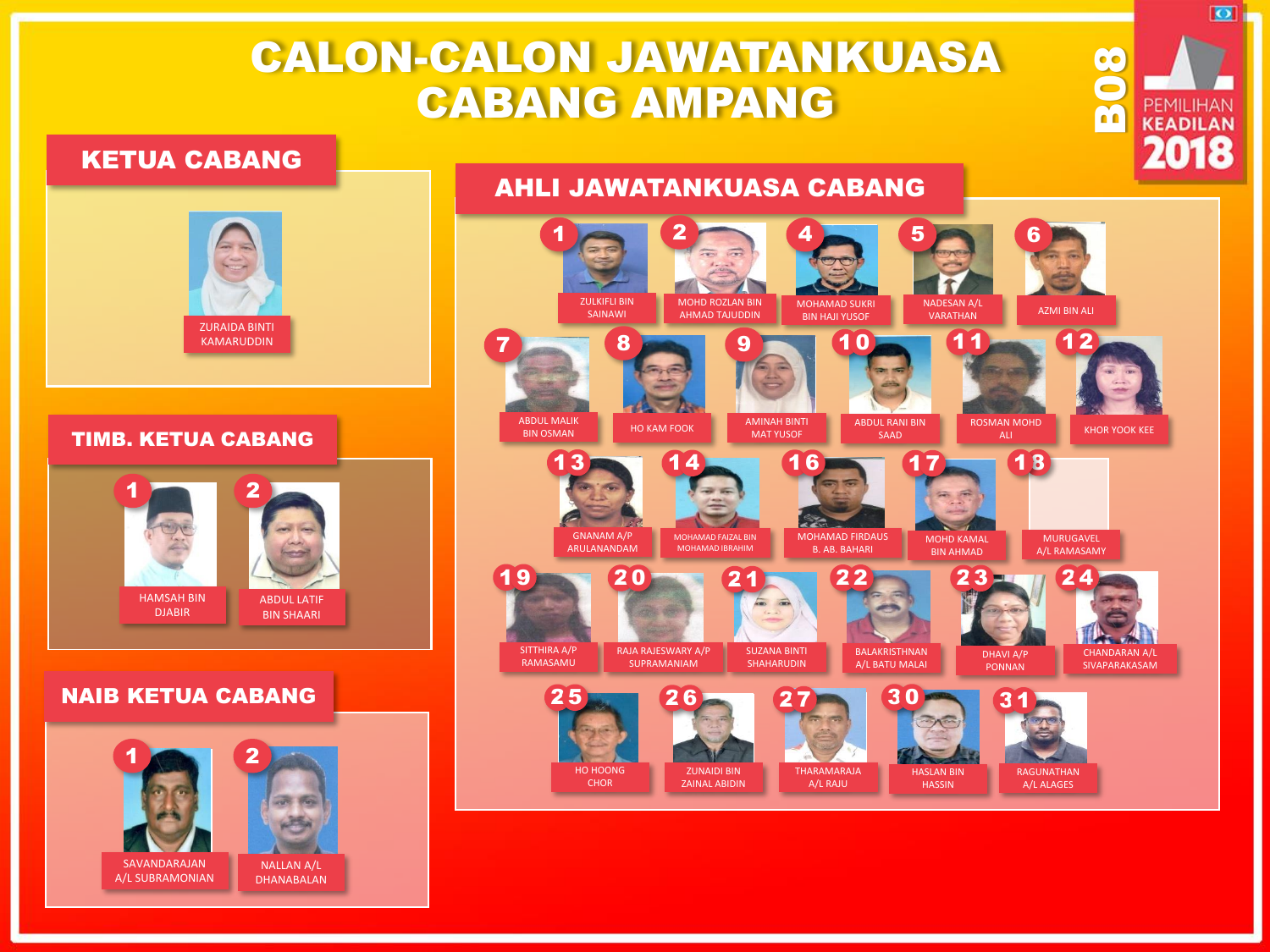# CALON-CALON JAWATANKUASA CABANG AMPANG

### KETUA CABANG

# ZURAIDA BINTI KAMARUDDIN

#### TIMB. KETUA CABANG



#### NAIB KETUA CABANG





B08

 $\overline{\bullet}$ 

**PEMILIHAN KEADILAN** 2018

AHLI JAWATANKUASA CABANG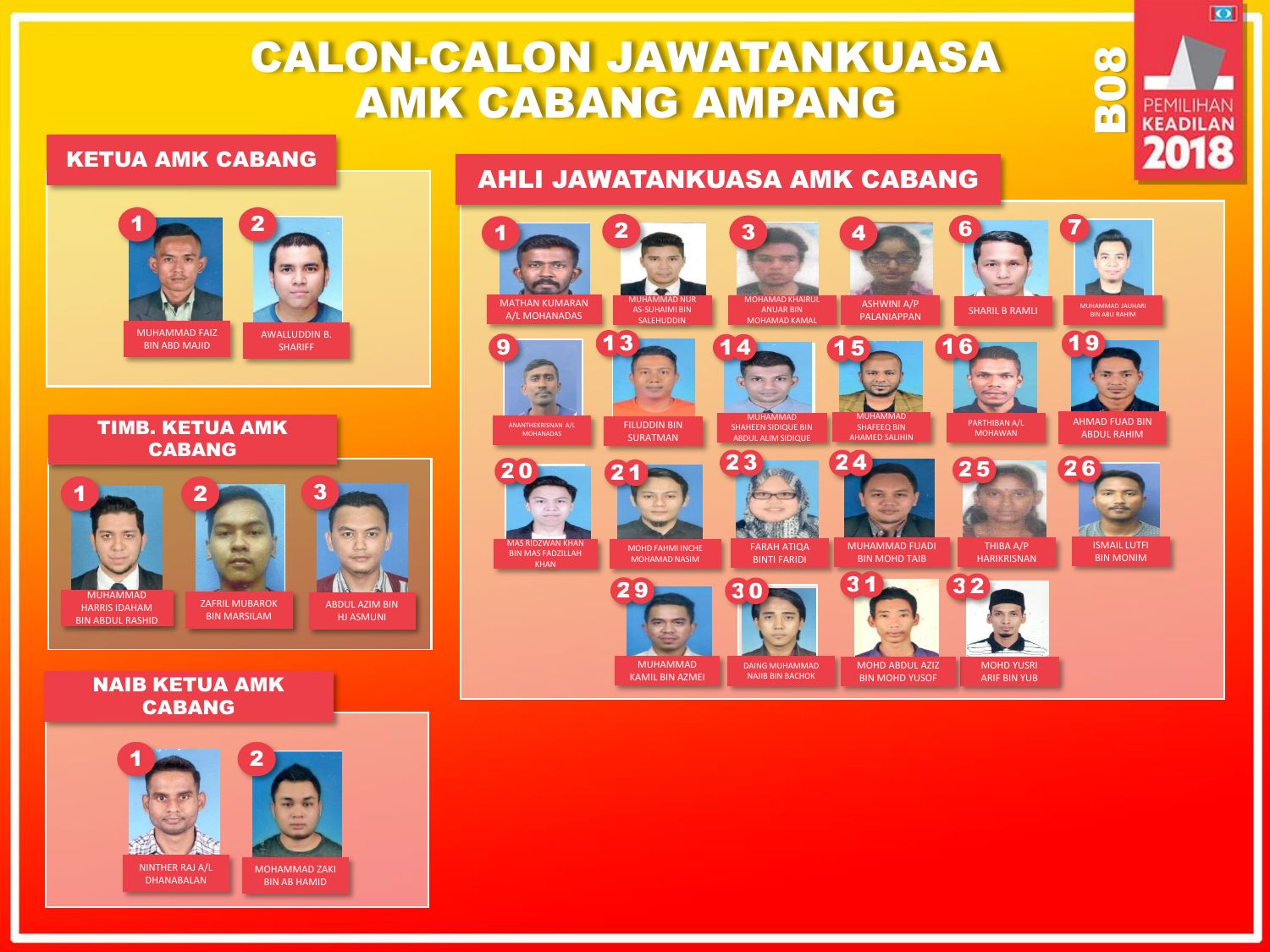# CALON-CALON JAWATANKUASA AMK CABANG AMPANG

#### KETUA AMK CABANG



#### TIMB. KETUA AMK CABANG



#### NAIB KETUA AMK CABANG



### AHLI JAWATANKUASA AMK CABANG



B08

 $\overline{\bullet}$ 

PEMILIHAN **KEADILAN** 2018